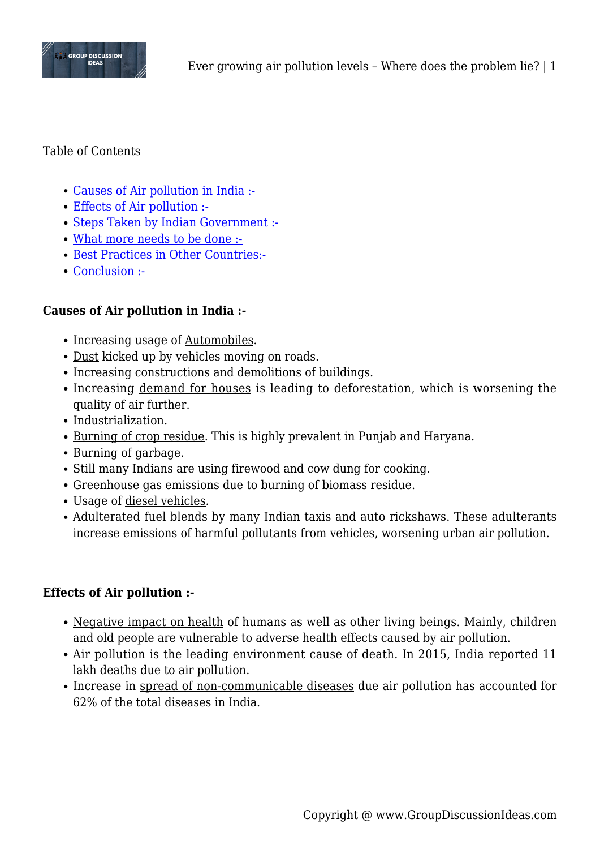

#### Table of Contents

- [Causes of Air pollution in India :-](#page--1-0)
- [Effects of Air pollution :-](#page--1-0)
- [Steps Taken by Indian Government :-](#page--1-0)
- [What more needs to be done :-](#page--1-0)
- [Best Practices in Other Countries:-](#page--1-0)
- [Conclusion :-](#page--1-0)

#### **Causes of Air pollution in India :-**

- Increasing usage of Automobiles.
- Dust kicked up by vehicles moving on roads.
- Increasing constructions and demolitions of buildings.
- Increasing demand for houses is leading to deforestation, which is worsening the quality of air further.
- Industrialization.
- Burning of crop residue. This is highly prevalent in Punjab and Haryana.
- Burning of garbage.
- Still many Indians are using firewood and cow dung for cooking.
- Greenhouse gas emissions due to burning of biomass residue.
- Usage of diesel vehicles.
- Adulterated fuel blends by many Indian taxis and auto rickshaws. These adulterants increase emissions of harmful pollutants from vehicles, worsening urban air pollution.

### **Effects of Air pollution :-**

- Negative impact on health of humans as well as other living beings. Mainly, children and old people are vulnerable to adverse health effects caused by air pollution.
- Air pollution is the leading environment cause of death. In 2015, India reported 11 lakh deaths due to air pollution.
- Increase in spread of non-communicable diseases due air pollution has accounted for 62% of the total diseases in India.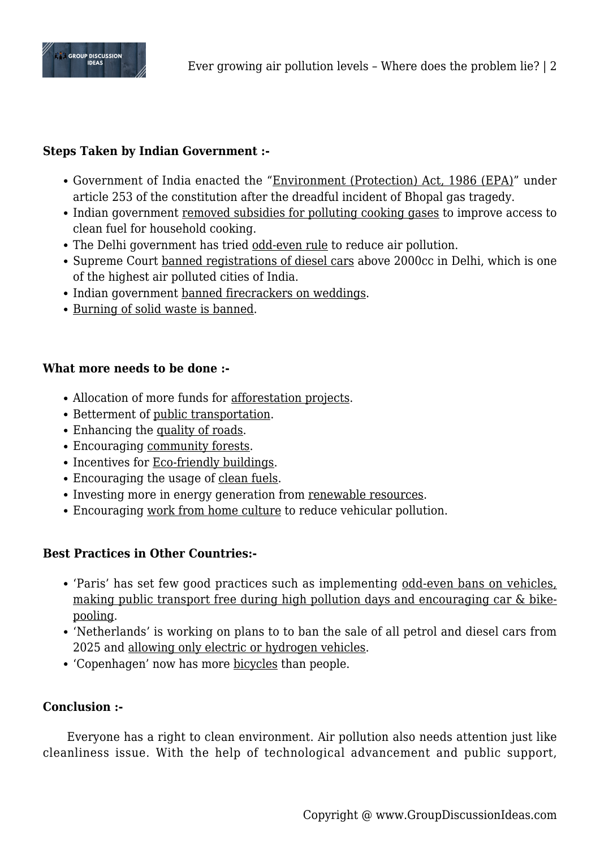

## **Steps Taken by Indian Government :-**

- Government of India enacted the "Environment (Protection) Act, 1986 (EPA)" under article 253 of the constitution after the dreadful incident of Bhopal gas tragedy.
- Indian government removed subsidies for polluting cooking gases to improve access to clean fuel for household cooking.
- The Delhi government has tried odd-even rule to reduce air pollution.
- Supreme Court banned registrations of diesel cars above 2000cc in Delhi, which is one of the highest air polluted cities of India.
- Indian government banned firecrackers on weddings.
- Burning of solid waste is banned.

### **What more needs to be done :-**

- Allocation of more funds for afforestation projects.
- Betterment of public transportation.
- Enhancing the quality of roads.
- Encouraging community forests.
- Incentives for Eco-friendly buildings.
- Encouraging the usage of clean fuels.
- Investing more in energy generation from renewable resources.
- Encouraging work from home culture to reduce vehicular pollution.

### **Best Practices in Other Countries:-**

- 'Paris' has set few good practices such as implementing odd-even bans on vehicles, making public transport free during high pollution days and encouraging car & bikepooling.
- 'Netherlands' is working on plans to to ban the sale of all petrol and diesel cars from 2025 and allowing only electric or hydrogen vehicles.
- 'Copenhagen' now has more bicycles than people.

### **Conclusion :-**

Everyone has a right to clean environment. Air pollution also needs attention just like cleanliness issue. With the help of technological advancement and public support,